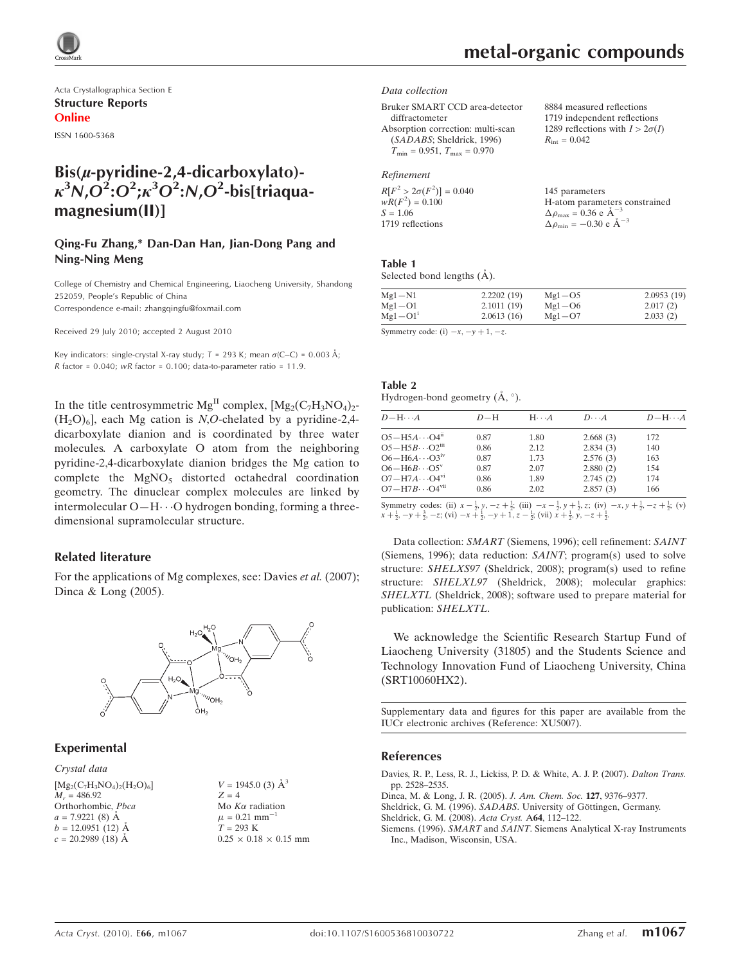

Acta Crystallographica Section E Structure Reports Online

ISSN 1600-5368

# $Bis(\mu$ -pyridine-2,4-dicarboxylato)- $\kappa^3$ N,O $^2$ :O $^2$ ; $\kappa^3$ O $^2$ :N,O $^2$ -bis[triaquamagnesium(II)]

## Qing-Fu Zhang,\* Dan-Dan Han, Jian-Dong Pang and Ning-Ning Meng

College of Chemistry and Chemical Engineering, Liaocheng University, Shandong 252059, People's Republic of China Correspondence e-mail: zhangqingfu@foxmail.com

Received 29 July 2010; accepted 2 August 2010

Key indicators: single-crystal X-ray study;  $T = 293$  K; mean  $\sigma$ (C–C) = 0.003 Å; R factor =  $0.040$ ; wR factor =  $0.100$ ; data-to-parameter ratio =  $11.9$ .

In the title centrosymmetric  $Mg<sup>H</sup>$  complex,  $[Mg<sub>2</sub>(C<sub>7</sub>H<sub>3</sub>NO<sub>4</sub>)<sub>2</sub>$  $(H<sub>2</sub>O)<sub>6</sub>$ , each Mg cation is N,O-chelated by a pyridine-2,4dicarboxylate dianion and is coordinated by three water molecules. A carboxylate O atom from the neighboring pyridine-2,4-dicarboxylate dianion bridges the Mg cation to complete the  $MgNO<sub>5</sub>$  distorted octahedral coordination geometry. The dinuclear complex molecules are linked by intermolecular O-H $\cdots$ O hydrogen bonding, forming a threedimensional supramolecular structure.

## Related literature

For the applications of Mg complexes, see: Davies *et al.* (2007); Dinca & Long (2005).



## Experimental

Crystal data

 $[Mg_2(C_7H_3NO_4)_2(H_2O)_6]$  $M_r = 486.92$ Orthorhombic, Pbca  $a = 7.9221(8)$  Å  $b = 12.0951(12)$  Å  $c = 20.2989(18)$  Å

 $V = 1945.0$  (3)  $\AA^3$  $Z = 4$ Mo  $K\alpha$  radiation  $\mu$  = 0.21  $\text{mm}^{-}$  $T = 293 K$  $0.25 \times 0.18 \times 0.15$  mm  $R_{\text{int}} = 0.042$ 

8884 measured reflections 1719 independent reflections 1289 reflections with  $I > 2\sigma(I)$ 

#### Data collection

Bruker SMART CCD area-detector diffractometer Absorption correction: multi-scan (SADABS; Sheldrick, 1996)  $T_{\text{min}} = 0.951, T_{\text{max}} = 0.970$ 

## Refinement

| $R[F^2 > 2\sigma(F^2)] = 0.040$ | 145 parameters                                      |
|---------------------------------|-----------------------------------------------------|
| $wR(F^2) = 0.100$               | H-atom parameters constrained                       |
| $S = 1.06$                      | $\Delta \rho_{\text{max}} = 0.36 \text{ e A}^{-3}$  |
| 1719 reflections                | $\Delta \rho_{\text{min}} = -0.30 \text{ e A}^{-3}$ |

### Table 1

Selected bond lengths  $(\AA)$ .

| $Mg1-N1$                 | 2.2202(19) | $Mg1 - O5$ | 2.0953(19) |
|--------------------------|------------|------------|------------|
| $Mg1 - O1$               | 2.1011(19) | $Mg1 - O6$ | 2.017(2)   |
| $Mg1 - O1i$              | 2.0613(16) | $Mg1-O7$   | 2.033(2)   |
| $\alpha$ $\beta$ $\beta$ |            |            |            |

Symmetry code: (i)  $-x$ ,  $-y + 1$ ,  $-z$ .

| Table 2          | Hydrogen-bond geometry $(\dot{A}, \circ)$ . |                         |              |
|------------------|---------------------------------------------|-------------------------|--------------|
| $D - H \cdots A$ | $D-H$                                       | $H \cdot \cdot \cdot A$ | $\mathbf{D}$ |
|                  |                                             |                         |              |

| $D$ $\!-\mathrm{H}\cdots A$         | $D-H$ | $H \cdot \cdot \cdot A$ | $D\cdots A$ | $D - H \cdots A$ |
|-------------------------------------|-------|-------------------------|-------------|------------------|
| $O5 - H5A \cdots O4^n$              | 0.87  | 1.80                    | 2.668(3)    | 172              |
| $O5 - H5B \cdots O2$ <sup>iii</sup> | 0.86  | 2.12                    | 2.834(3)    | 140              |
| $O6 - H6A \cdots O3^{\rm sv}$       | 0.87  | 1.73                    | 2.576(3)    | 163              |
| $O6 - H6B \cdots O5^v$              | 0.87  | 2.07                    | 2.880(2)    | 154              |
| $O7 - H7A \cdots O4$ <sup>vi</sup>  | 0.86  | 1.89                    | 2.745(2)    | 174              |
| $O7 - H7B \cdots O4$ <sup>vii</sup> | 0.86  | 2.02                    | 2.857(3)    | 166              |
|                                     |       |                         |             |                  |

Symmetry codes: (ii)  $x - \frac{1}{2}$ ,  $y$ ,  $-z + \frac{1}{2}$ ; (iii)  $-x - \frac{1}{2}$ ,  $y + \frac{1}{2}$ , z; (iv)  $-x$ ,  $y + \frac{1}{2}$ ,  $-z + \frac{1}{2}$ ; (v)  $x + \frac{1}{2}, -y + \frac{3}{2}, -z$ ; (vi)  $-x + \frac{1}{2}, -y + 1, z - \frac{1}{2}$ ; (vii)  $x + \frac{1}{2}, y, -z + \frac{1}{2}$ .

Data collection: SMART (Siemens, 1996); cell refinement: SAINT (Siemens, 1996); data reduction: SAINT; program(s) used to solve structure: SHELXS97 (Sheldrick, 2008); program(s) used to refine structure: SHELXL97 (Sheldrick, 2008); molecular graphics: SHELXTL (Sheldrick, 2008); software used to prepare material for publication: SHELXTL.

We acknowledge the Scientific Research Startup Fund of Liaocheng University (31805) and the Students Science and Technology Innovation Fund of Liaocheng University, China (SRT10060HX2).

Supplementary data and figures for this paper are available from the IUCr electronic archives (Reference: XU5007).

#### References

[Davies, R. P., Less, R. J., Lickiss, P. D. & White, A. J. P. \(2007\).](https://scripts.iucr.org/cgi-bin/cr.cgi?rm=pdfbb&cnor=xu5007&bbid=BB1) Dalton Trans. [pp. 2528–2535.](https://scripts.iucr.org/cgi-bin/cr.cgi?rm=pdfbb&cnor=xu5007&bbid=BB1)

- [Dinca, M. & Long, J. R. \(2005\).](https://scripts.iucr.org/cgi-bin/cr.cgi?rm=pdfbb&cnor=xu5007&bbid=BB2) J. Am. Chem. Soc. 127, 9376–9377.
- Sheldrick, G. M. (1996). SADABS. University of Göttingen, Germany.

[Sheldrick, G. M. \(2008\).](https://scripts.iucr.org/cgi-bin/cr.cgi?rm=pdfbb&cnor=xu5007&bbid=BB4) Acta Cryst. A64, 112–122.

Siemens. (1996). SMART and SAINT[. Siemens Analytical X-ray Instruments](https://scripts.iucr.org/cgi-bin/cr.cgi?rm=pdfbb&cnor=xu5007&bbid=BB5) [Inc., Madison, Wisconsin, USA.](https://scripts.iucr.org/cgi-bin/cr.cgi?rm=pdfbb&cnor=xu5007&bbid=BB5)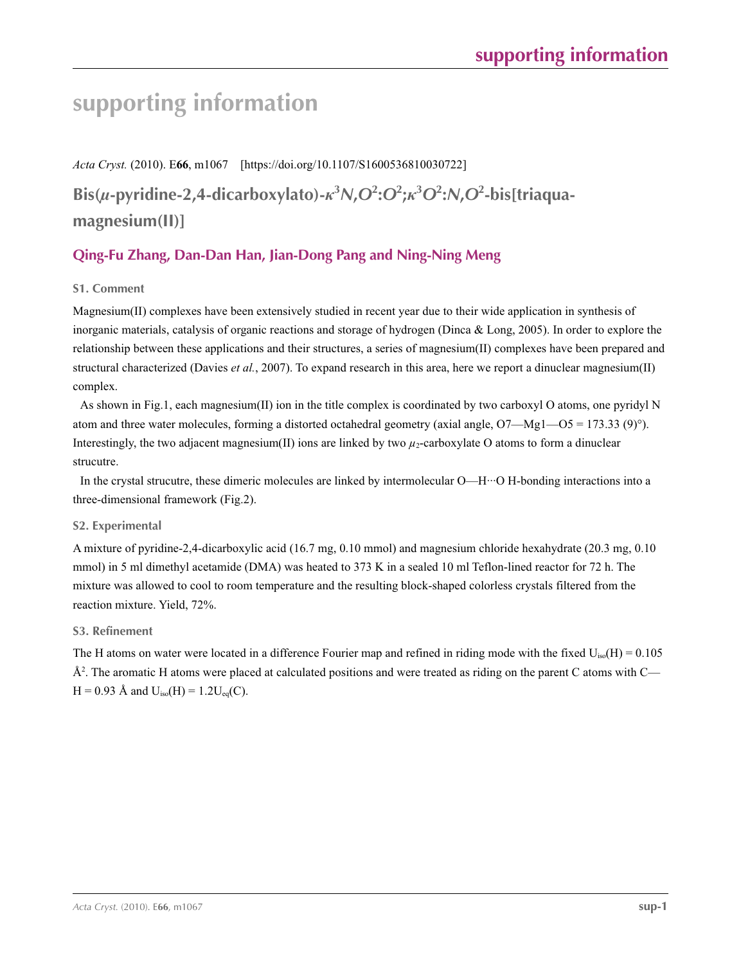# **supporting information**

*Acta Cryst.* (2010). E**66**, m1067 [https://doi.org/10.1107/S1600536810030722]

Bis(u-pyridine-2,4-dicarboxylato)- $\kappa^3$ N,O<sup>2</sup>:O<sup>2</sup>; $\kappa^3$ O<sup>2</sup>:N,O<sup>2</sup>-bis[triaqua**magnesium(II)]**

# **Qing-Fu Zhang, Dan-Dan Han, Jian-Dong Pang and Ning-Ning Meng**

# **S1. Comment**

Magnesium(II) complexes have been extensively studied in recent year due to their wide application in synthesis of inorganic materials, catalysis of organic reactions and storage of hydrogen (Dinca & Long, 2005). In order to explore the relationship between these applications and their structures, a series of magnesium(II) complexes have been prepared and structural characterized (Davies *et al.*, 2007). To expand research in this area, here we report a dinuclear magnesium(II) complex.

As shown in Fig.1, each magnesium(II) ion in the title complex is coordinated by two carboxyl O atoms, one pyridyl N atom and three water molecules, forming a distorted octahedral geometry (axial angle,  $O7 - Mg1 - O5 = 173.33 (9)°$ ). Interestingly, the two adjacent magnesium(II) ions are linked by two  $\mu_2$ -carboxylate O atoms to form a dinuclear strucutre.

In the crystal strucutre, these dimeric molecules are linked by intermolecular O—H···O H-bonding interactions into a three-dimensional framework (Fig.2).

## **S2. Experimental**

A mixture of pyridine-2,4-dicarboxylic acid (16.7 mg, 0.10 mmol) and magnesium chloride hexahydrate (20.3 mg, 0.10 mmol) in 5 ml dimethyl acetamide (DMA) was heated to 373 K in a sealed 10 ml Teflon-lined reactor for 72 h. The mixture was allowed to cool to room temperature and the resulting block-shaped colorless crystals filtered from the reaction mixture. Yield, 72%.

## **S3. Refinement**

The H atoms on water were located in a difference Fourier map and refined in riding mode with the fixed  $U_{iso}(H) = 0.105$  $A<sup>2</sup>$ . The aromatic H atoms were placed at calculated positions and were treated as riding on the parent C atoms with C—  $H = 0.93$  Å and  $U_{iso}(H) = 1.2U_{eq}(C)$ .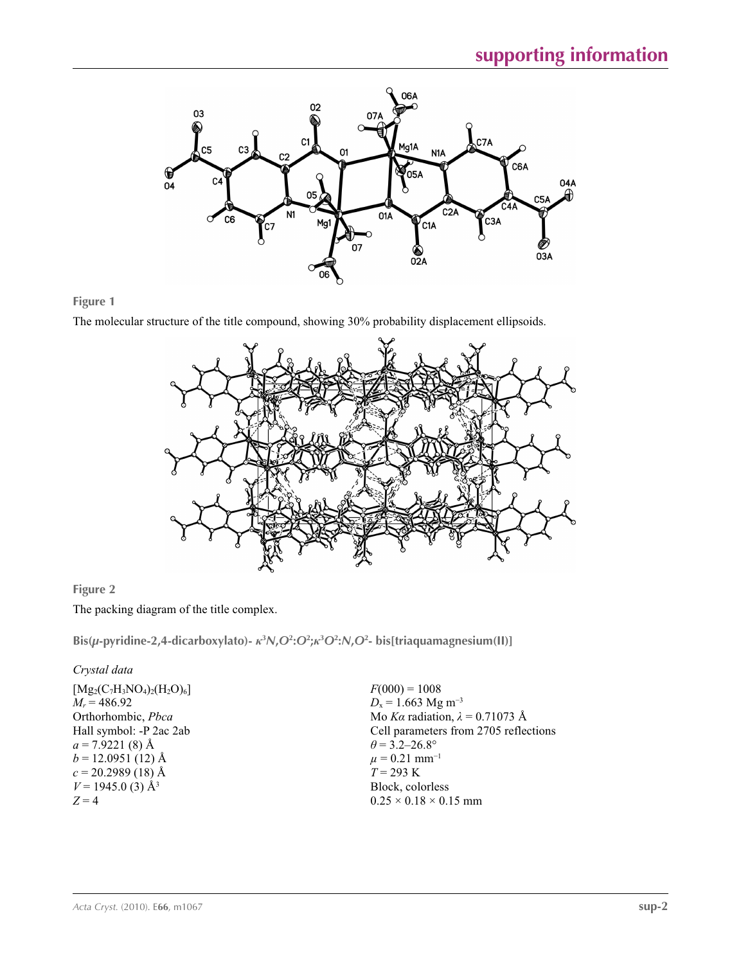

# **Figure 1**

The molecular structure of the title compound, showing 30% probability displacement ellipsoids.



# **Figure 2**

The packing diagram of the title complex.

Bis(µ-pyridine-2,4-dicarboxylato)- $\kappa^3 N$ , $O^2$ : $O^2$ ; $\kappa^3 O^2$ : $N$ , $O^2$ - bis[triaquamagnesium(II)]

# *Crystal data*

 $F(000) = 1008$  $D_x = 1.663$  Mg m<sup>-3</sup> Mo *Kα* radiation, *λ* = 0.71073 Å Cell parameters from 2705 reflections  $\theta$  = 3.2–26.8°  $\mu$  = 0.21 mm<sup>-1</sup>  $T = 293 \text{ K}$ Block, colorless  $0.25 \times 0.18 \times 0.15$  mm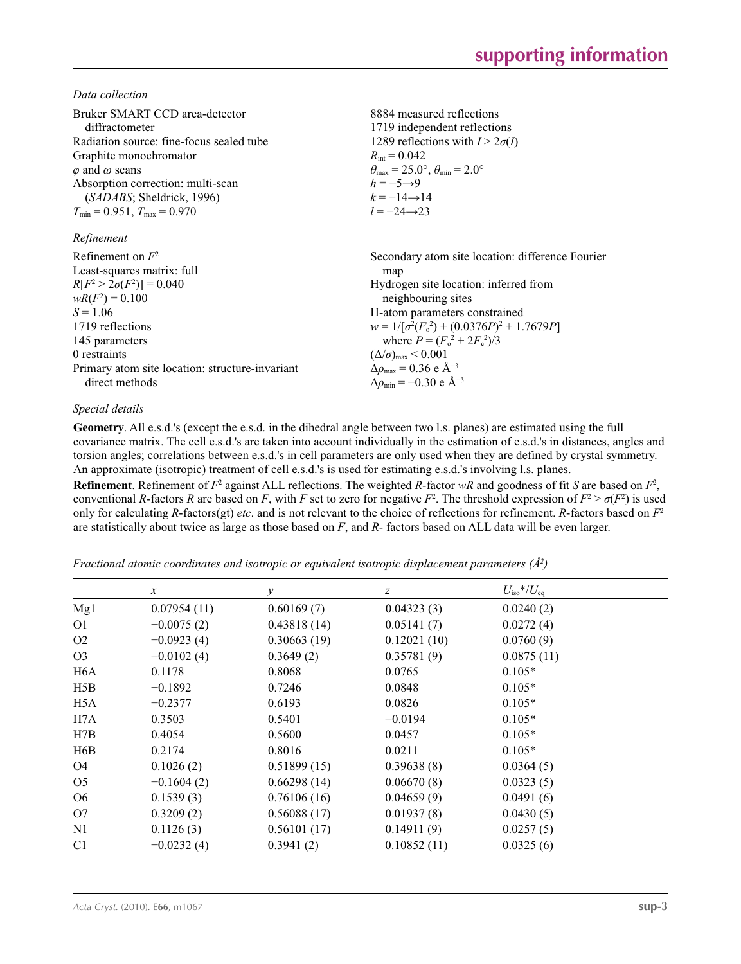*Data collection*

| Bruker SMART CCD area-detector<br>diffractometer<br>Radiation source: fine-focus sealed tube<br>Graphite monochromator<br>$\varphi$ and $\omega$ scans<br>Absorption correction: multi-scan<br>(SADABS; Sheldrick, 1996)<br>$T_{\min}$ = 0.951, $T_{\max}$ = 0.970<br>Refinement | 8884 measured reflections<br>1719 independent reflections<br>1289 reflections with $I > 2\sigma(I)$<br>$R_{\text{int}} = 0.042$<br>$\theta_{\text{max}} = 25.0^{\circ}, \theta_{\text{min}} = 2.0^{\circ}$<br>$h = -5 \rightarrow 9$<br>$k = -14 \rightarrow 14$<br>$l = -24 \rightarrow 23$ |
|----------------------------------------------------------------------------------------------------------------------------------------------------------------------------------------------------------------------------------------------------------------------------------|----------------------------------------------------------------------------------------------------------------------------------------------------------------------------------------------------------------------------------------------------------------------------------------------|
| Refinement on $F^2$                                                                                                                                                                                                                                                              | Secondary atom site location: difference Fourier                                                                                                                                                                                                                                             |
| Least-squares matrix: full                                                                                                                                                                                                                                                       | map                                                                                                                                                                                                                                                                                          |
| $R[F^2 > 2\sigma(F^2)] = 0.040$                                                                                                                                                                                                                                                  | Hydrogen site location: inferred from                                                                                                                                                                                                                                                        |
| $wR(F^2) = 0.100$                                                                                                                                                                                                                                                                | neighbouring sites                                                                                                                                                                                                                                                                           |
| $S = 1.06$                                                                                                                                                                                                                                                                       | H-atom parameters constrained                                                                                                                                                                                                                                                                |
| 1719 reflections                                                                                                                                                                                                                                                                 | $w = 1/[\sigma^2(F_0^2) + (0.0376P)^2 + 1.7679P]$                                                                                                                                                                                                                                            |
| 145 parameters                                                                                                                                                                                                                                                                   | where $P = (F_o^2 + 2F_c^2)/3$                                                                                                                                                                                                                                                               |
| 0 restraints                                                                                                                                                                                                                                                                     | $(\Delta/\sigma)_{\text{max}}$ < 0.001                                                                                                                                                                                                                                                       |
| Primary atom site location: structure-invariant                                                                                                                                                                                                                                  | $\Delta\rho_{\text{max}}$ = 0.36 e Å <sup>-3</sup>                                                                                                                                                                                                                                           |
| direct methods                                                                                                                                                                                                                                                                   | $\Delta\rho_{\rm min}$ = -0.30 e Å <sup>-3</sup>                                                                                                                                                                                                                                             |

## *Special details*

**Geometry**. All e.s.d.'s (except the e.s.d. in the dihedral angle between two l.s. planes) are estimated using the full covariance matrix. The cell e.s.d.'s are taken into account individually in the estimation of e.s.d.'s in distances, angles and torsion angles; correlations between e.s.d.'s in cell parameters are only used when they are defined by crystal symmetry. An approximate (isotropic) treatment of cell e.s.d.'s is used for estimating e.s.d.'s involving l.s. planes.

**Refinement**. Refinement of  $F^2$  against ALL reflections. The weighted *R*-factor  $wR$  and goodness of fit *S* are based on  $F^2$ , conventional *R*-factors *R* are based on *F*, with *F* set to zero for negative  $F^2$ . The threshold expression of  $F^2 > \sigma(F^2)$  is used only for calculating *R*-factors(gt) *etc*. and is not relevant to the choice of reflections for refinement. *R*-factors based on *F*<sup>2</sup> are statistically about twice as large as those based on *F*, and *R*- factors based on ALL data will be even larger.

*Fractional atomic coordinates and isotropic or equivalent isotropic displacement parameters (Å<sup>2</sup>)* 

|                  | $\mathcal{X}$ | у           | $\boldsymbol{Z}$ | $U_{\rm iso}*/U_{\rm eq}$ |  |
|------------------|---------------|-------------|------------------|---------------------------|--|
| Mg1              | 0.07954(11)   | 0.60169(7)  | 0.04323(3)       | 0.0240(2)                 |  |
| O <sub>1</sub>   | $-0.0075(2)$  | 0.43818(14) | 0.05141(7)       | 0.0272(4)                 |  |
| O <sub>2</sub>   | $-0.0923(4)$  | 0.30663(19) | 0.12021(10)      | 0.0760(9)                 |  |
| O <sub>3</sub>   | $-0.0102(4)$  | 0.3649(2)   | 0.35781(9)       | 0.0875(11)                |  |
| H <sub>6</sub> A | 0.1178        | 0.8068      | 0.0765           | $0.105*$                  |  |
| H5B              | $-0.1892$     | 0.7246      | 0.0848           | $0.105*$                  |  |
| H <sub>5</sub> A | $-0.2377$     | 0.6193      | 0.0826           | $0.105*$                  |  |
| H7A              | 0.3503        | 0.5401      | $-0.0194$        | $0.105*$                  |  |
| H7B              | 0.4054        | 0.5600      | 0.0457           | $0.105*$                  |  |
| H6B              | 0.2174        | 0.8016      | 0.0211           | $0.105*$                  |  |
| O <sub>4</sub>   | 0.1026(2)     | 0.51899(15) | 0.39638(8)       | 0.0364(5)                 |  |
| O <sub>5</sub>   | $-0.1604(2)$  | 0.66298(14) | 0.06670(8)       | 0.0323(5)                 |  |
| O <sub>6</sub>   | 0.1539(3)     | 0.76106(16) | 0.04659(9)       | 0.0491(6)                 |  |
| O <sub>7</sub>   | 0.3209(2)     | 0.56088(17) | 0.01937(8)       | 0.0430(5)                 |  |
| N1               | 0.1126(3)     | 0.56101(17) | 0.14911(9)       | 0.0257(5)                 |  |
| C <sub>1</sub>   | $-0.0232(4)$  | 0.3941(2)   | 0.10852(11)      | 0.0325(6)                 |  |
|                  |               |             |                  |                           |  |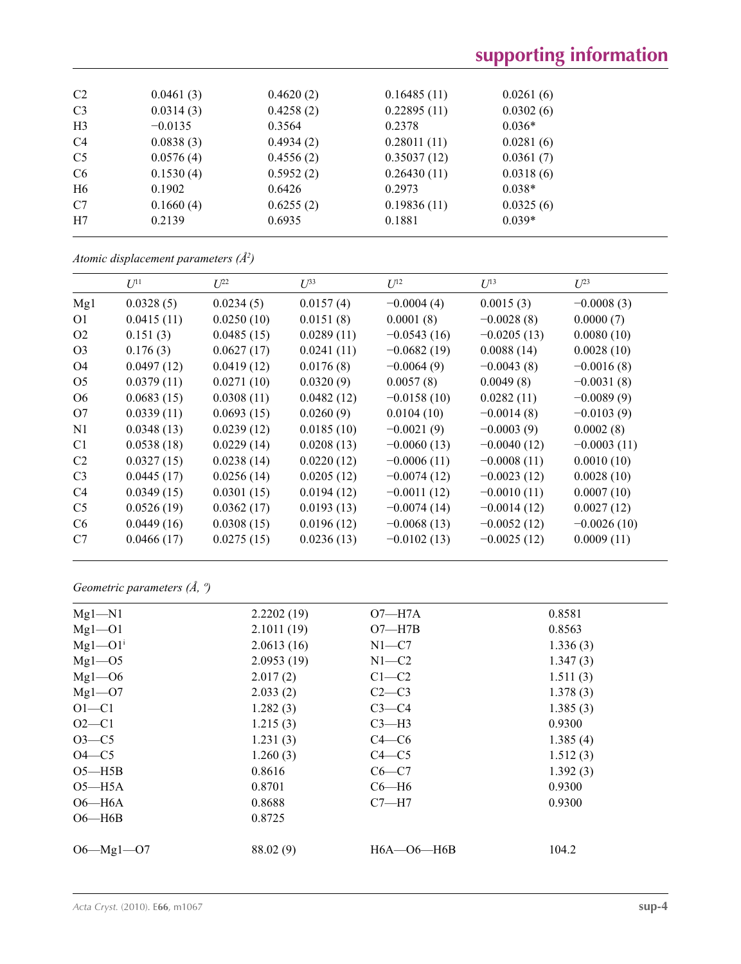| C <sub>2</sub> | 0.0461(3) | 0.4620(2) | 0.16485(11) | 0.0261(6) |
|----------------|-----------|-----------|-------------|-----------|
| C <sub>3</sub> | 0.0314(3) | 0.4258(2) | 0.22895(11) | 0.0302(6) |
| H <sub>3</sub> | $-0.0135$ | 0.3564    | 0.2378      | $0.036*$  |
| C4             | 0.0838(3) | 0.4934(2) | 0.28011(11) | 0.0281(6) |
| C <sub>5</sub> | 0.0576(4) | 0.4556(2) | 0.35037(12) | 0.0361(7) |
| C6             | 0.1530(4) | 0.5952(2) | 0.26430(11) | 0.0318(6) |
| H <sub>6</sub> | 0.1902    | 0.6426    | 0.2973      | $0.038*$  |
| C7             | 0.1660(4) | 0.6255(2) | 0.19836(11) | 0.0325(6) |
| H7             | 0.2139    | 0.6935    | 0.1881      | $0.039*$  |
|                |           |           |             |           |

*Atomic displacement parameters (Å2 )*

|                | $U^{11}$   | $U^{22}$   | $U^{33}$   | $U^{12}$      | $U^{13}$      | $U^{23}$      |
|----------------|------------|------------|------------|---------------|---------------|---------------|
|                |            |            |            |               |               |               |
| Mg1            | 0.0328(5)  | 0.0234(5)  | 0.0157(4)  | $-0.0004(4)$  | 0.0015(3)     | $-0.0008(3)$  |
| O <sub>1</sub> | 0.0415(11) | 0.0250(10) | 0.0151(8)  | 0.0001(8)     | $-0.0028(8)$  | 0.0000(7)     |
| O <sub>2</sub> | 0.151(3)   | 0.0485(15) | 0.0289(11) | $-0.0543(16)$ | $-0.0205(13)$ | 0.0080(10)    |
| O <sub>3</sub> | 0.176(3)   | 0.0627(17) | 0.0241(11) | $-0.0682(19)$ | 0.0088(14)    | 0.0028(10)    |
| O4             | 0.0497(12) | 0.0419(12) | 0.0176(8)  | $-0.0064(9)$  | $-0.0043(8)$  | $-0.0016(8)$  |
| O <sub>5</sub> | 0.0379(11) | 0.0271(10) | 0.0320(9)  | 0.0057(8)     | 0.0049(8)     | $-0.0031(8)$  |
| O <sub>6</sub> | 0.0683(15) | 0.0308(11) | 0.0482(12) | $-0.0158(10)$ | 0.0282(11)    | $-0.0089(9)$  |
| O7             | 0.0339(11) | 0.0693(15) | 0.0260(9)  | 0.0104(10)    | $-0.0014(8)$  | $-0.0103(9)$  |
| N <sub>1</sub> | 0.0348(13) | 0.0239(12) | 0.0185(10) | $-0.0021(9)$  | $-0.0003(9)$  | 0.0002(8)     |
| C <sub>1</sub> | 0.0538(18) | 0.0229(14) | 0.0208(13) | $-0.0060(13)$ | $-0.0040(12)$ | $-0.0003(11)$ |
| C <sub>2</sub> | 0.0327(15) | 0.0238(14) | 0.0220(12) | $-0.0006(11)$ | $-0.0008(11)$ | 0.0010(10)    |
| C <sub>3</sub> | 0.0445(17) | 0.0256(14) | 0.0205(12) | $-0.0074(12)$ | $-0.0023(12)$ | 0.0028(10)    |
| C <sub>4</sub> | 0.0349(15) | 0.0301(15) | 0.0194(12) | $-0.0011(12)$ | $-0.0010(11)$ | 0.0007(10)    |
| C <sub>5</sub> | 0.0526(19) | 0.0362(17) | 0.0193(13) | $-0.0074(14)$ | $-0.0014(12)$ | 0.0027(12)    |
| C <sub>6</sub> | 0.0449(16) | 0.0308(15) | 0.0196(12) | $-0.0068(13)$ | $-0.0052(12)$ | $-0.0026(10)$ |
| C7             | 0.0466(17) | 0.0275(15) | 0.0236(13) | $-0.0102(13)$ | $-0.0025(12)$ | 0.0009(11)    |
|                |            |            |            |               |               |               |

*Geometric parameters (Å, º)*

| $Mg1 - N1$                | 2.2202(19) | $O7 - H7A$           | 0.8581   |
|---------------------------|------------|----------------------|----------|
| $Mg1 - O1$                | 2.1011(19) | $O7 - H7B$           | 0.8563   |
| $Mgl$ – $O1$ <sup>i</sup> | 2.0613(16) | $N1-C7$              | 1.336(3) |
| $Mgl$ – $O5$              | 2.0953(19) | $N1-C2$              | 1.347(3) |
| $Mgl$ - $O6$              | 2.017(2)   | $C1-C2$              | 1.511(3) |
| $Mgl$ – $O7$              | 2.033(2)   | $C2-C3$              | 1.378(3) |
| $O1 - C1$                 | 1.282(3)   | $C3-C4$              | 1.385(3) |
| $O2 - C1$                 | 1.215(3)   | $C3-H3$              | 0.9300   |
| $O3-C5$                   | 1.231(3)   | $C4 - C6$            | 1.385(4) |
| $O4-C5$                   | 1.260(3)   | $C4 - C5$            | 1.512(3) |
| $O5 - H5B$                | 0.8616     | $C6-C7$              | 1.392(3) |
| $O5 - H5A$                | 0.8701     | $C6 - H6$            | 0.9300   |
| $O6 - H6A$                | 0.8688     | $C7 - H7$            | 0.9300   |
| $O6 - H6B$                | 0.8725     |                      |          |
|                           |            |                      |          |
| $O6 - Mg1 - O7$           | 88.02 (9)  | $H6A$ — $O6$ — $H6B$ | 104.2    |